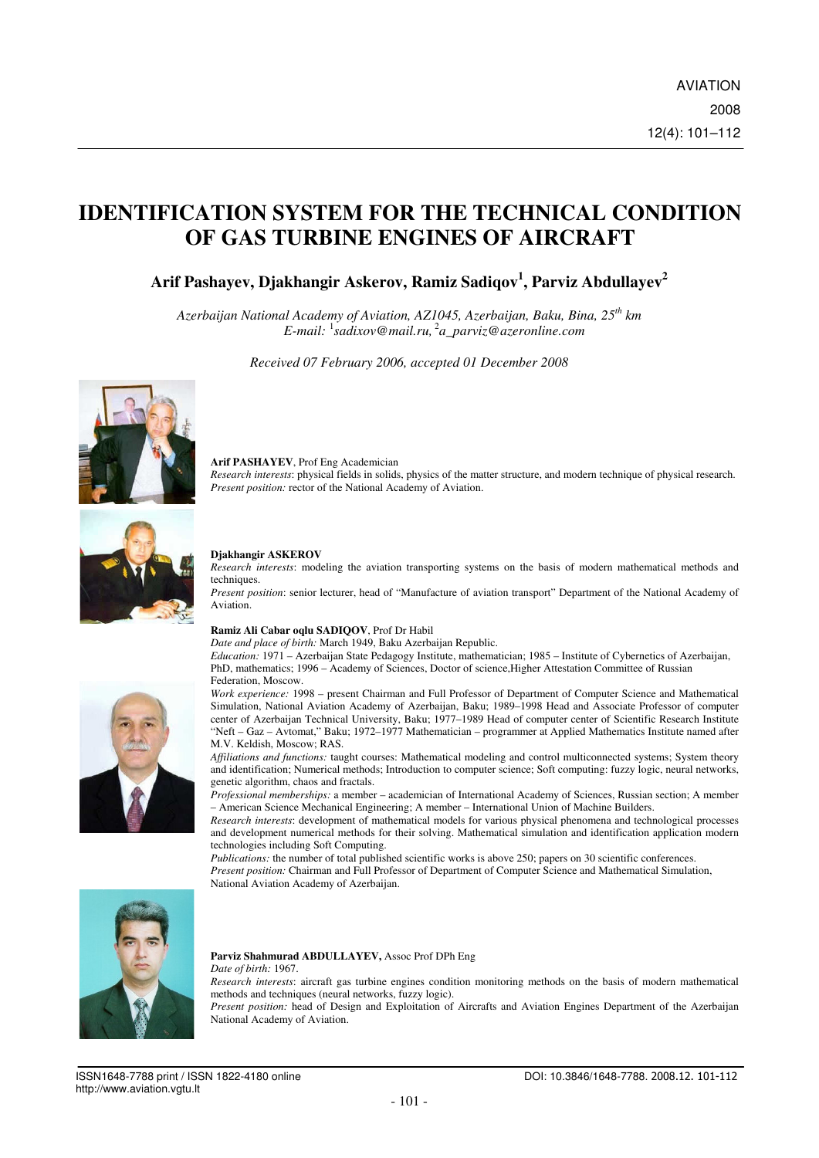# **IDENTIFICATION SYSTEM FOR THE TECHNICAL CONDITION OF GAS TURBINE ENGINES OF AIRCRAFT**

# **Arif Pashayev, Djakhangir Askerov, Ramiz Sadiqov<sup>1</sup> , Parviz Abdullayev<sup>2</sup>**

*Azerbaijan National Academy of Aviation, AZ1045, Azerbaijan, Baku, Bina, 25th km E-mail:* <sup>1</sup> *sadixov@mail.ru,* <sup>2</sup> *a\_parviz@azeronline.com* 

*Received 07 February 2006, accepted 01 December 2008* 



**Arif PASHAYEV**, Prof Eng Academician *Research interests*: physical fields in solids, physics of the matter structure, and modern technique of physical research. *Present position:* rector of the National Academy of Aviation.



#### **Djakhangir ASKEROV**

*Research interests*: modeling the aviation transporting systems on the basis of modern mathematical methods and techniques

*Present position*: senior lecturer, head of "Manufacture of aviation transport" Department of the National Academy of Aviation.

#### **Ramiz Ali Cabar oqlu SADIQOV**, Prof Dr Habil

*Date and place of birth:* March 1949, Baku Azerbaijan Republic.

*Education:* 1971 – Azerbaijan State Pedagogy Institute, mathematician; 1985 – Institute of Cybernetics of Azerbaijan, PhD, mathematics; 1996 – Academy of Sciences, Doctor of science,Higher Attestation Committee of Russian Federation, Moscow.

*Work experience:* 1998 – present Chairman and Full Professor of Department of Computer Science and Mathematical Simulation, National Aviation Academy of Azerbaijan, Baku; 1989–1998 Head and Associate Professor of computer center of Azerbaijan Technical University, Baku; 1977–1989 Head of computer center of Scientific Research Institute "Neft – Gaz – Avtomat," Baku; 1972–1977 Mathematician – programmer at Applied Mathematics Institute named after M.V. Keldish, Moscow; RAS.

*Affiliations and functions:* taught courses: Mathematical modeling and control multiconnected systems; System theory and identification; Numerical methods; Introduction to computer science; Soft computing: fuzzy logic, neural networks, genetic algorithm, chaos and fractals.

*Professional memberships:* a member – academician of International Academy of Sciences, Russian section; A member – American Science Mechanical Engineering; A member – International Union of Machine Builders.

*Research interests*: development of mathematical models for various physical phenomena and technological processes and development numerical methods for their solving. Mathematical simulation and identification application modern technologies including Soft Computing.

*Publications:* the number of total published scientific works is above 250; papers on 30 scientific conferences. *Present position:* Chairman and Full Professor of Department of Computer Science and Mathematical Simulation, National Aviation Academy of Azerbaijan.



#### **Parviz Shahmurad ABDULLAYEV,** Assoc Prof DPh Eng *Date of birth:* 1967.

*Research interests*: aircraft gas turbine engines condition monitoring methods on the basis of modern mathematical methods and techniques (neural networks, fuzzy logic).

*Present position:* head of Design and Exploitation of Aircrafts and Aviation Engines Department of the Azerbaijan National Academy of Aviation.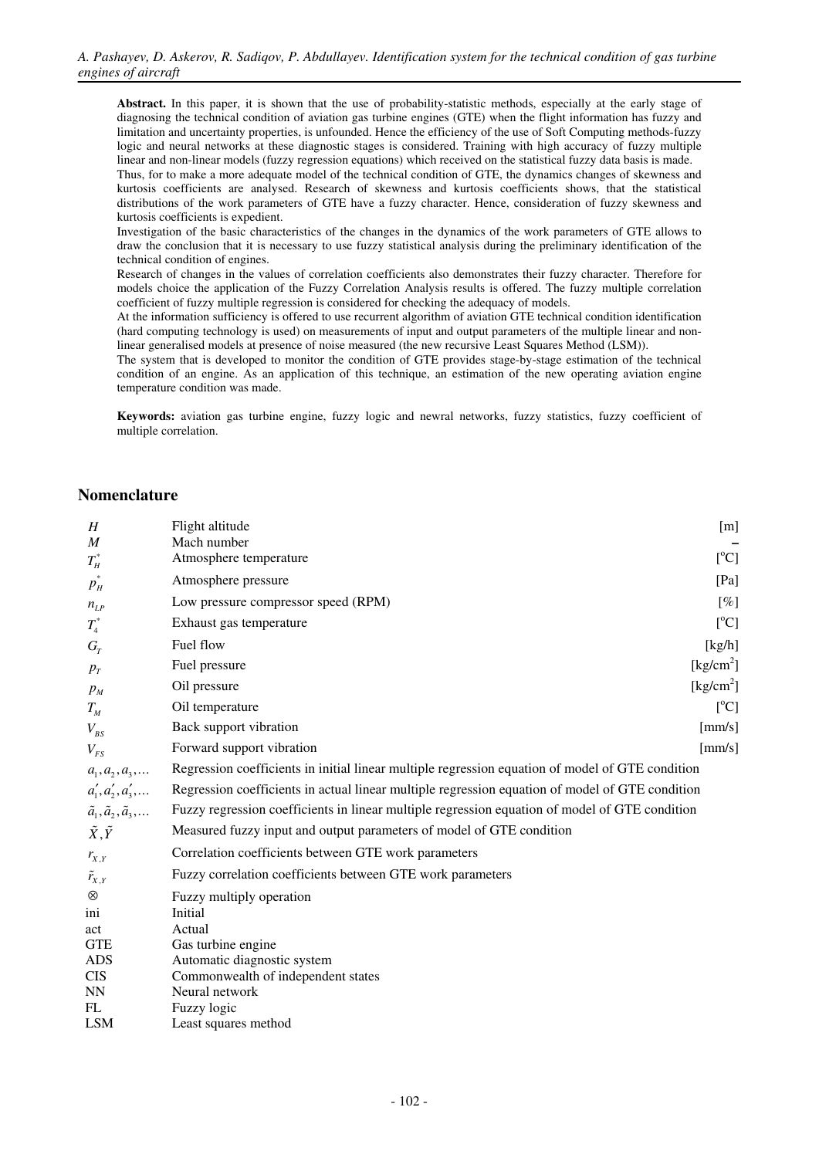**Abstract.** In this paper, it is shown that the use of probability-statistic methods, especially at the early stage of diagnosing the technical condition of aviation gas turbine engines (GTE) when the flight information has fuzzy and limitation and uncertainty properties, is unfounded. Hence the efficiency of the use of Soft Computing methods-fuzzy logic and neural networks at these diagnostic stages is considered. Training with high accuracy of fuzzy multiple linear and non-linear models (fuzzy regression equations) which received on the statistical fuzzy data basis is made. Thus, for to make a more adequate model of the technical condition of GTE, the dynamics changes of skewness and kurtosis coefficients are analysed. Research of skewness and kurtosis coefficients shows, that the statistical distributions of the work parameters of GTE have a fuzzy character. Hence, consideration of fuzzy skewness and kurtosis coefficients is expedient.

Investigation of the basic characteristics of the changes in the dynamics of the work parameters of GTE allows to draw the conclusion that it is necessary to use fuzzy statistical analysis during the preliminary identification of the technical condition of engines.

Research of changes in the values of correlation coefficients also demonstrates their fuzzy character. Therefore for models choice the application of the Fuzzy Correlation Analysis results is offered. The fuzzy multiple correlation coefficient of fuzzy multiple regression is considered for checking the adequacy of models.

At the information sufficiency is offered to use recurrent algorithm of aviation GTE technical condition identification (hard computing technology is used) on measurements of input and output parameters of the multiple linear and nonlinear generalised models at presence of noise measured (the new recursive Least Squares Method (LSM)).

The system that is developed to monitor the condition of GTE provides stage-by-stage estimation of the technical condition of an engine. As an application of this technique, an estimation of the new operating aviation engine temperature condition was made.

**Keywords:** aviation gas turbine engine, fuzzy logic and newral networks, fuzzy statistics, fuzzy coefficient of multiple correlation.

### **Nomenclature**

| H                                               | Flight altitude                                                                                  | [m]                       |  |  |  |
|-------------------------------------------------|--------------------------------------------------------------------------------------------------|---------------------------|--|--|--|
| $\boldsymbol{M}$                                | Mach number                                                                                      |                           |  |  |  |
| $T_H^*$                                         | Atmosphere temperature                                                                           | [°C]                      |  |  |  |
| $p_H$                                           | Atmosphere pressure                                                                              | [Pa]                      |  |  |  |
| $n_{LP}$                                        | Low pressure compressor speed (RPM)                                                              | $[\%]$                    |  |  |  |
| $T_{\tiny 4}^*$                                 | Exhaust gas temperature                                                                          | $\lceil{^{\circ}C}\rceil$ |  |  |  |
| $G_{T}$                                         | Fuel flow                                                                                        | [kg/h]                    |  |  |  |
| $p_T$                                           | Fuel pressure                                                                                    | [ $\text{kg/cm}^2$ ]      |  |  |  |
| $p_M$                                           | Oil pressure                                                                                     | [ $\text{kg/cm}^2$ ]      |  |  |  |
| $T_M$                                           | Oil temperature                                                                                  | $\lceil{^{\circ}C}\rceil$ |  |  |  |
| $V_{BS}$                                        | Back support vibration                                                                           | [mm/s]                    |  |  |  |
| $V_{FS}$                                        | Forward support vibration                                                                        | $\lceil$ mm/s $\rceil$    |  |  |  |
| $a_1, a_2, a_3, \dots$                          | Regression coefficients in initial linear multiple regression equation of model of GTE condition |                           |  |  |  |
| $a'_1, a'_2, a'_3, \dots$                       | Regression coefficients in actual linear multiple regression equation of model of GTE condition  |                           |  |  |  |
| $\tilde{a}_1, \tilde{a}_2, \tilde{a}_3, \ldots$ | Fuzzy regression coefficients in linear multiple regression equation of model of GTE condition   |                           |  |  |  |
| $\tilde{X}, \tilde{Y}$                          | Measured fuzzy input and output parameters of model of GTE condition                             |                           |  |  |  |
| $r_{X,Y}$                                       | Correlation coefficients between GTE work parameters                                             |                           |  |  |  |
| $\tilde{r}_{X,Y}$                               | Fuzzy correlation coefficients between GTE work parameters                                       |                           |  |  |  |
| $\otimes$                                       | Fuzzy multiply operation                                                                         |                           |  |  |  |
| ini                                             | Initial                                                                                          |                           |  |  |  |
| act                                             | Actual                                                                                           |                           |  |  |  |
| <b>GTE</b>                                      | Gas turbine engine                                                                               |                           |  |  |  |
| <b>ADS</b>                                      | Automatic diagnostic system                                                                      |                           |  |  |  |
| <b>CIS</b>                                      | Commonwealth of independent states                                                               |                           |  |  |  |
| <b>NN</b>                                       | Neural network                                                                                   |                           |  |  |  |
| FL                                              | Fuzzy logic                                                                                      |                           |  |  |  |
| <b>LSM</b>                                      | Least squares method                                                                             |                           |  |  |  |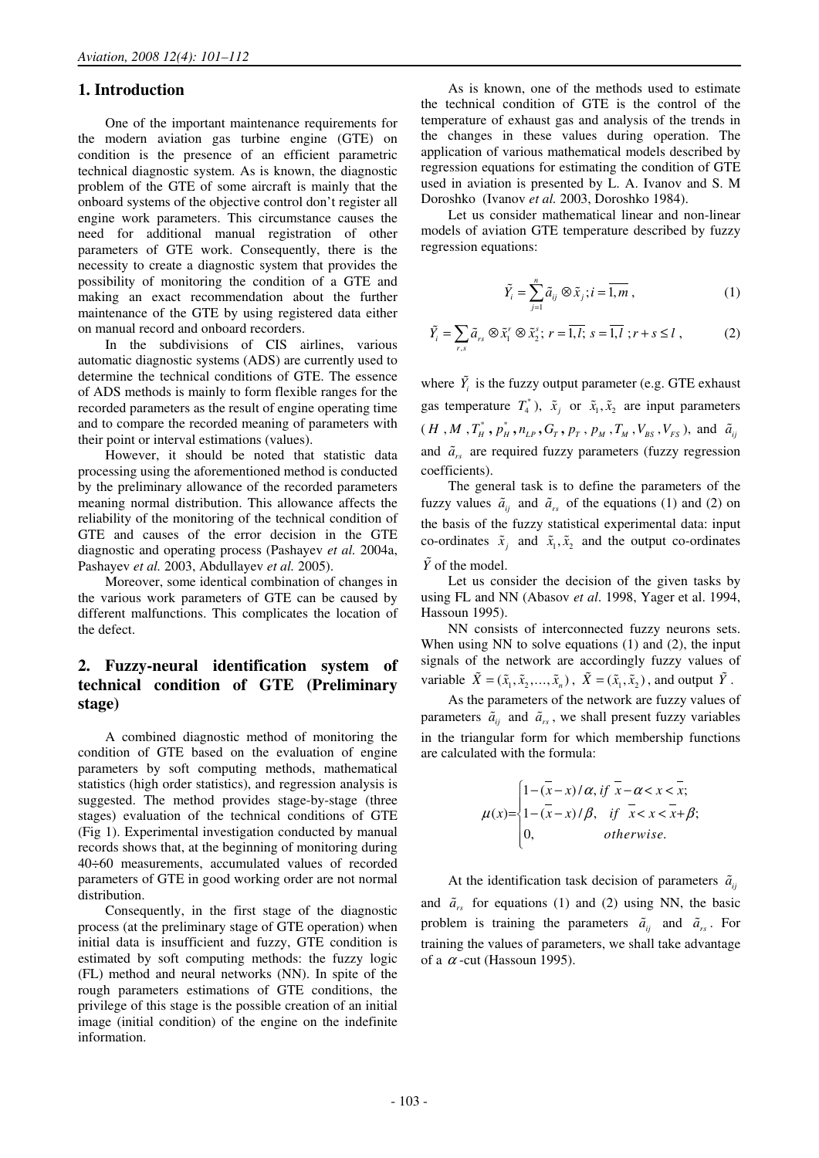#### **1. Introduction**

One of the important maintenance requirements for the modern aviation gas turbine engine (GTE) on condition is the presence of an efficient parametric technical diagnostic system. As is known, the diagnostic problem of the GTE of some aircraft is mainly that the onboard systems of the objective control don't register all engine work parameters. This circumstance causes the need for additional manual registration of other parameters of GTE work. Consequently, there is the necessity to create a diagnostic system that provides the possibility of monitoring the condition of a GTE and making an exact recommendation about the further maintenance of the GTE by using registered data either on manual record and onboard recorders.

In the subdivisions of CIS airlines, various automatic diagnostic systems (ADS) are currently used to determine the technical conditions of GTE. The essence of ADS methods is mainly to form flexible ranges for the recorded parameters as the result of engine operating time and to compare the recorded meaning of parameters with their point or interval estimations (values).

However, it should be noted that statistic data processing using the aforementioned method is conducted by the preliminary allowance of the recorded parameters meaning normal distribution. This allowance affects the reliability of the monitoring of the technical condition of GTE and causes of the error decision in the GTE diagnostic and operating process (Pashayev *et al.* 2004a, Pashayev *et al.* 2003, Abdullayev *et al.* 2005).

Moreover, some identical combination of changes in the various work parameters of GTE can be caused by different malfunctions. This complicates the location of the defect.

### **2. Fuzzy-neural identification system of technical condition of GTE (Preliminary stage)**

A combined diagnostic method of monitoring the condition of GTE based on the evaluation of engine parameters by soft computing methods, mathematical statistics (high order statistics), and regression analysis is suggested. The method provides stage-by-stage (three stages) evaluation of the technical conditions of GTE (Fig 1). Experimental investigation conducted by manual records shows that, at the beginning of monitoring during 40÷60 measurements, accumulated values of recorded parameters of GTE in good working order are not normal distribution.

Consequently, in the first stage of the diagnostic process (at the preliminary stage of GTE operation) when initial data is insufficient and fuzzy, GTE condition is estimated by soft computing methods: the fuzzy logic (FL) method and neural networks (NN). In spite of the rough parameters estimations of GTE conditions, the privilege of this stage is the possible creation of an initial image (initial condition) of the engine on the indefinite information.

As is known, one of the methods used to estimate the technical condition of GTE is the control of the temperature of exhaust gas and analysis of the trends in the changes in these values during operation. The application of various mathematical models described by regression equations for estimating the condition of GTE used in aviation is presented by L. A. Ivanov and S. M Doroshko (Ivanov *et al.* 2003, Doroshko 1984).

Let us consider mathematical linear and non-linear models of aviation GTE temperature described by fuzzy regression equations:

$$
\tilde{Y}_i = \sum_{j=1}^n \tilde{a}_{ij} \otimes \tilde{x}_j; i = \overline{1, m},
$$
\n(1)

$$
\tilde{Y}_i = \sum_{r,s} \tilde{a}_{rs} \otimes \tilde{x}_1^r \otimes \tilde{x}_2^s; \ r = \overline{1,l}; \ s = \overline{1,l}; \ r + s \le l \ , \tag{2}
$$

where  $\tilde{Y}_i$  is the fuzzy output parameter (e.g. GTE exhaust gas temperature  $T_4^*$ ),  $\tilde{x}_j$  or  $\tilde{x}_1, \tilde{x}_2$  are input parameters  $(H, M, T_H^*, p_H^*, n_{LP}, G_T, p_T, p_M, T_M, V_{BS}, V_{FS})$ , and  $\tilde{a}_{ij}$ and  $\tilde{a}_{rs}$  are required fuzzy parameters (fuzzy regression coefficients).

The general task is to define the parameters of the fuzzy values  $\tilde{a}_{ij}$  and  $\tilde{a}_{rs}$  of the equations (1) and (2) on the basis of the fuzzy statistical experimental data: input co-ordinates  $\tilde{x}_j$  and  $\tilde{x}_1, \tilde{x}_2$  and the output co-ordinates  $\tilde{Y}$  of the model.

Let us consider the decision of the given tasks by using FL and NN (Abasov *et al*. 1998, Yager et al. 1994, Hassoun 1995).

NN consists of interconnected fuzzy neurons sets. When using NN to solve equations (1) and (2), the input signals of the network are accordingly fuzzy values of variable  $\tilde{X} = (\tilde{x}_1, \tilde{x}_2, ..., \tilde{x}_n)$ ,  $\tilde{X} = (\tilde{x}_1, \tilde{x}_2)$ , and output  $\tilde{Y}$ .

As the parameters of the network are fuzzy values of parameters  $\tilde{a}_{ij}$  and  $\tilde{a}_{rs}$ , we shall present fuzzy variables in the triangular form for which membership functions are calculated with the formula:

$$
\mu(x) = \begin{cases} 1 - (\overline{x} - x) / \alpha, & \text{if } \overline{x} - \alpha < x < \overline{x}; \\ 1 - (\overline{x} - x) / \beta, & \text{if } \overline{x} < x < \overline{x} + \beta; \\ 0, & \text{otherwise}. \end{cases}
$$

At the identification task decision of parameters  $\tilde{a}_{ii}$ and  $\tilde{a}_{rs}$  for equations (1) and (2) using NN, the basic problem is training the parameters  $\tilde{a}_{ij}$  and  $\tilde{a}_{rs}$ . For training the values of parameters, we shall take advantage of a  $\alpha$ -cut (Hassoun 1995).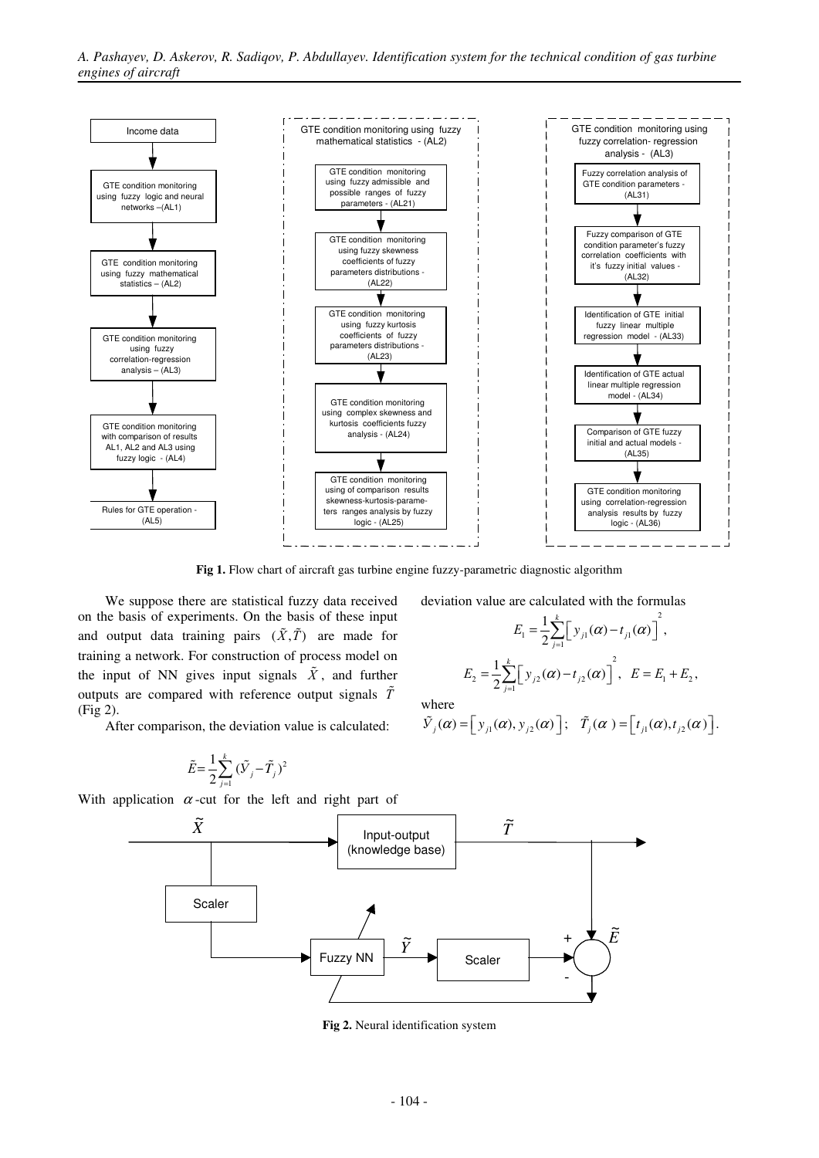

Fig 1. Flow chart of aircraft gas turbine engine fuzzy-parametric diagnostic algorithm

We suppose there are statistical fuzzy data received on the basis of experiments. On the basis of these input and output data training pairs  $(\tilde{X}, \tilde{T})$  are made for training a network. For construction of process model on the input of NN gives input signals  $\tilde{X}$ , and further outputs are compared with reference output signals  $\tilde{T}$ (Fig 2).

After comparison, the deviation value is calculated:

$$
\tilde{E} = \frac{1}{2} \sum_{j=1}^{k} (\tilde{V}_j - \tilde{T}_j)^2
$$

With application  $\alpha$ -cut for the left and right part of



**Fig 2.** Neural identification system

deviation value are calculated with the formulas  $\overline{2}$ 

$$
E_1 = \frac{1}{2} \sum_{j=1}^{k} \left[ y_{j1}(\alpha) - t_{j1}(\alpha) \right]^2,
$$
  

$$
E_2 = \frac{1}{2} \sum_{j=1}^{k} \left[ y_{j2}(\alpha) - t_{j2}(\alpha) \right]^2, \quad E = E_1 + E_2,
$$

where

$$
\tilde{V}_j(\alpha) = \left[ y_{j1}(\alpha), y_{j2}(\alpha) \right]; \quad \tilde{T}_j(\alpha) = \left[ t_{j1}(\alpha), t_{j2}(\alpha) \right].
$$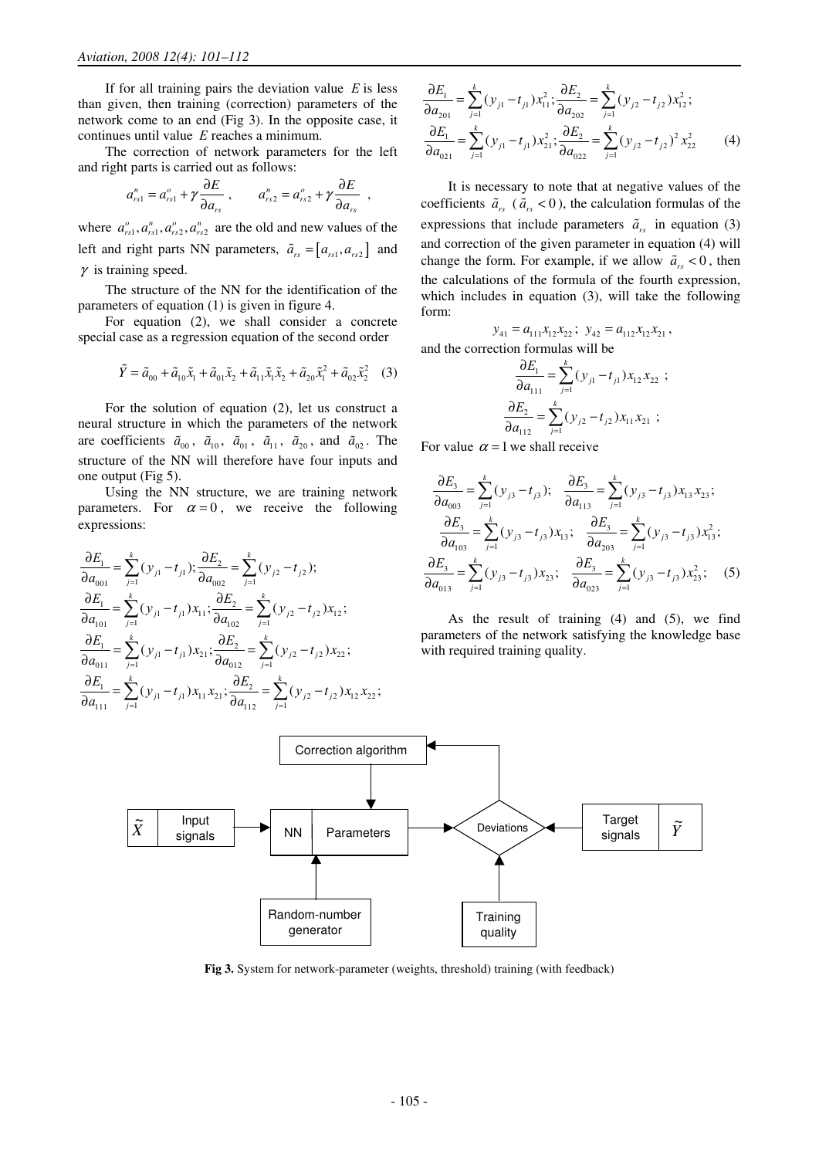If for all training pairs the deviation value  $E$  is less than given, then training (correction) parameters of the network come to an end (Fig 3). In the opposite case, it continues until value Е reaches a minimum.

The correction of network parameters for the left and right parts is carried out as follows:

$$
a_{rs1}^n = a_{rs1}^o + \gamma \frac{\partial E}{\partial a_{rs}}, \qquad a_{rs2}^n = a_{rs2}^o + \gamma \frac{\partial E}{\partial a_{rs}},
$$

where  $a_{rs1}^o, a_{rs1}^n, a_{rs2}^o, a_{rs2}^n$  are the old and new values of the left and right parts NN parameters,  $\tilde{a}_{rs} = [a_{rs1}, a_{rs2}]$  and  $\gamma$  is training speed.

The structure of the NN for the identification of the parameters of equation (1) is given in figure 4.

For equation (2), we shall consider a concrete special case as a regression equation of the second order

$$
\tilde{Y} = \tilde{a}_{00} + \tilde{a}_{10}\tilde{x}_1 + \tilde{a}_{01}\tilde{x}_2 + \tilde{a}_{11}\tilde{x}_1\tilde{x}_2 + \tilde{a}_{20}\tilde{x}_1^2 + \tilde{a}_{02}\tilde{x}_2^2
$$
 (3)

For the solution of equation (2), let us construct a neural structure in which the parameters of the network are coefficients  $\tilde{a}_{00}$ ,  $\tilde{a}_{10}$ ,  $\tilde{a}_{01}$ ,  $\tilde{a}_{11}$ ,  $\tilde{a}_{20}$ , and  $\tilde{a}_{02}$ . The structure of the NN will therefore have four inputs and one output (Fig 5).

Using the NN structure, we are training network parameters. For  $\alpha = 0$ , we receive the following expressions:

$$
\frac{\partial E_1}{\partial a_{001}} = \sum_{j=1}^k (y_{j1} - t_{j1}); \frac{\partial E_2}{\partial a_{002}} = \sum_{j=1}^k (y_{j2} - t_{j2});
$$
\n
$$
\frac{\partial E_1}{\partial a_{101}} = \sum_{j=1}^k (y_{j1} - t_{j1}) x_{11}; \frac{\partial E_2}{\partial a_{102}} = \sum_{j=1}^k (y_{j2} - t_{j2}) x_{12};
$$
\n
$$
\frac{\partial E_1}{\partial a_{011}} = \sum_{j=1}^k (y_{j1} - t_{j1}) x_{21}; \frac{\partial E_2}{\partial a_{012}} = \sum_{j=1}^k (y_{j2} - t_{j2}) x_{22};
$$
\n
$$
\frac{\partial E_1}{\partial a_{111}} = \sum_{j=1}^k (y_{j1} - t_{j1}) x_{11} x_{21}; \frac{\partial E_2}{\partial a_{112}} = \sum_{j=1}^k (y_{j2} - t_{j2}) x_{12} x_{22};
$$

$$
\frac{\partial E_1}{\partial a_{201}} = \sum_{j=1}^k (y_{j1} - t_{j1}) x_{11}^2; \frac{\partial E_2}{\partial a_{202}} = \sum_{j=1}^k (y_{j2} - t_{j2}) x_{12}^2; \n\frac{\partial E_1}{\partial a_{021}} = \sum_{j=1}^k (y_{j1} - t_{j1}) x_{21}^2; \frac{\partial E_2}{\partial a_{022}} = \sum_{j=1}^k (y_{j2} - t_{j2})^2 x_{22}^2
$$
\n(4)

It is necessary to note that at negative values of the coefficients  $\tilde{a}_{rs}$  ( $\tilde{a}_{rs}$  < 0), the calculation formulas of the expressions that include parameters  $\tilde{a}_{rs}$  in equation (3) and correction of the given parameter in equation (4) will change the form. For example, if we allow  $\tilde{a}_{rs} < 0$ , then the calculations of the formula of the fourth expression, which includes in equation (3), will take the following form:

$$
y_{41} = a_{111}x_{12}x_{22} \, ; \, y_{42} = a_{112}x_{12}x_{21} \, ,
$$

and the correction formulas will be

$$
\frac{\partial E_1}{\partial a_{111}} = \sum_{j=1}^k (y_{j1} - t_{j1}) x_{12} x_{22} ;
$$
  

$$
\frac{\partial E_2}{\partial a_{112}} = \sum_{j=1}^k (y_{j2} - t_{j2}) x_{11} x_{21} ;
$$

For value  $\alpha = 1$  we shall receive

$$
\frac{\partial E_3}{\partial a_{003}} = \sum_{j=1}^k (y_{j3} - t_{j3}); \quad \frac{\partial E_3}{\partial a_{113}} = \sum_{j=1}^k (y_{j3} - t_{j3}) x_{13} x_{23};
$$
\n
$$
\frac{\partial E_3}{\partial a_{103}} = \sum_{j=1}^k (y_{j3} - t_{j3}) x_{13}; \quad \frac{\partial E_3}{\partial a_{203}} = \sum_{j=1}^k (y_{j3} - t_{j3}) x_{13}^2;
$$
\n
$$
\frac{\partial E_3}{\partial a_{013}} = \sum_{j=1}^k (y_{j3} - t_{j3}) x_{23}; \quad \frac{\partial E_3}{\partial a_{023}} = \sum_{j=1}^k (y_{j3} - t_{j3}) x_{23}^2;
$$
\n(5)

As the result of training (4) and (5), we find parameters of the network satisfying the knowledge base with required training quality.



**Fig 3.** System for network-parameter (weights, threshold) training (with feedback)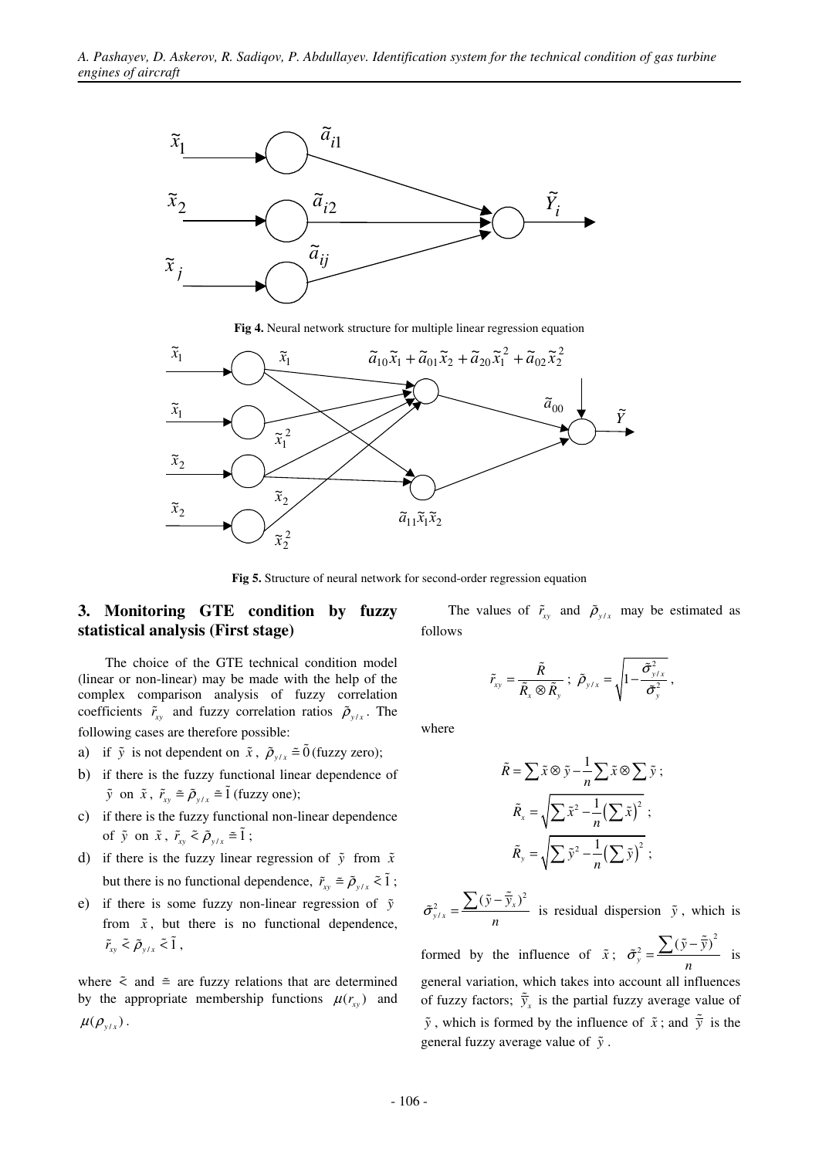

**Fig 4.** Neural network structure for multiple linear regression equation



**Fig 5.** Structure of neural network for second-order regression equation

### **3. Monitoring GTE condition by fuzzy statistical analysis (First stage)**

The choice of the GTE technical condition model (linear or non-linear) may be made with the help of the complex comparison analysis of fuzzy correlation coefficients  $\tilde{r}_{xy}$  and fuzzy correlation ratios  $\tilde{\rho}_{y/x}$ . The following cases are therefore possible:

- a) if  $\tilde{y}$  is not dependent on  $\tilde{x}$ ,  $\tilde{\rho}_{y/x} \approx 0$  (fuzzy zero);
- b) if there is the fuzzy functional linear dependence of  $\tilde{y}$  on  $\tilde{x}$ ,  $\tilde{r}_{xy} \cong \tilde{\rho}_{y/x} \cong \tilde{1}$  (fuzzy one);
- c) if there is the fuzzy functional non-linear dependence of  $\tilde{y}$  on  $\tilde{x}$ ,  $\tilde{r}_{xy} \tilde{\leq} \tilde{\rho}_{y/x} \tilde{=} \tilde{1}$ ;
- d) if there is the fuzzy linear regression of  $\tilde{y}$  from  $\tilde{x}$ but there is no functional dependence,  $\tilde{r}_{xy} \approx \tilde{\rho}_{y/x} \tilde{\leq} 1$ ;
- e) if there is some fuzzy non-linear regression of *y* from  $\tilde{x}$ , but there is no functional dependence,  $\tilde{r}_{xy} \tilde{\leq} \tilde{\rho}_{y/x} \tilde{\leq} \tilde{1}$ ,

where  $\tilde{\le}$  and  $\tilde{=}$  are fuzzy relations that are determined by the appropriate membership functions  $\mu(r_{xy})$  and  $\mu(\rho_{y/x})$ .

The values of  $\tilde{r}_{xy}$  and  $\tilde{\rho}_{y/x}$  may be estimated as follows

$$
\widetilde{r}_{xy} = \frac{\widetilde{R}}{\widetilde{R}_x \otimes \widetilde{R}_y} ; \ \widetilde{\rho}_{y/x} = \sqrt{1 - \frac{\widetilde{\sigma}_{y/x}^2}{\widetilde{\sigma}_y^2}},
$$

where

$$
\tilde{R} = \sum \tilde{x} \otimes \tilde{y} - \frac{1}{n} \sum \tilde{x} \otimes \sum \tilde{y} ;
$$

$$
\tilde{R}_x = \sqrt{\sum \tilde{x}^2 - \frac{1}{n} (\sum \tilde{x})^2} ;
$$

$$
\tilde{R}_y = \sqrt{\sum \tilde{y}^2 - \frac{1}{n} (\sum \tilde{y})^2} ;
$$

 $\frac{2}{y/x} = \frac{\sum (\tilde{y} - \tilde{\bar{y}}_x)^2}{\sigma^2}$  $\sum_{y/x}^{2} = \frac{\sum(\tilde{y} - \overline{y}_{x})}{\sum_{x}^{2}}$  $\tilde{y} - \overline{y}$  $\tilde{\sigma}_{y/x}^2 = \frac{\sum (\tilde{y} - \tilde{\tilde{y}}_x)^2}{n}$  is residual dispersion  $\tilde{y}$ , which is formed by the influence of  $\tilde{x}$ ; 2  $\sum_{z} (\tilde{y} - \overline{\tilde{y}})$ *y*  $\tilde{y} - \tilde{\bar{y}}$  $\tilde{\sigma}_y^2 = \frac{\sum (\tilde{y} - \tilde{\bar{y}})^2}{n}$  is

general variation, which takes into account all influences of fuzzy factors;  $\tilde{y}_x$  is the partial fuzzy average value of  $\tilde{y}$ , which is formed by the influence of  $\tilde{x}$ ; and  $\tilde{\bar{y}}$  is the general fuzzy average value of *y* .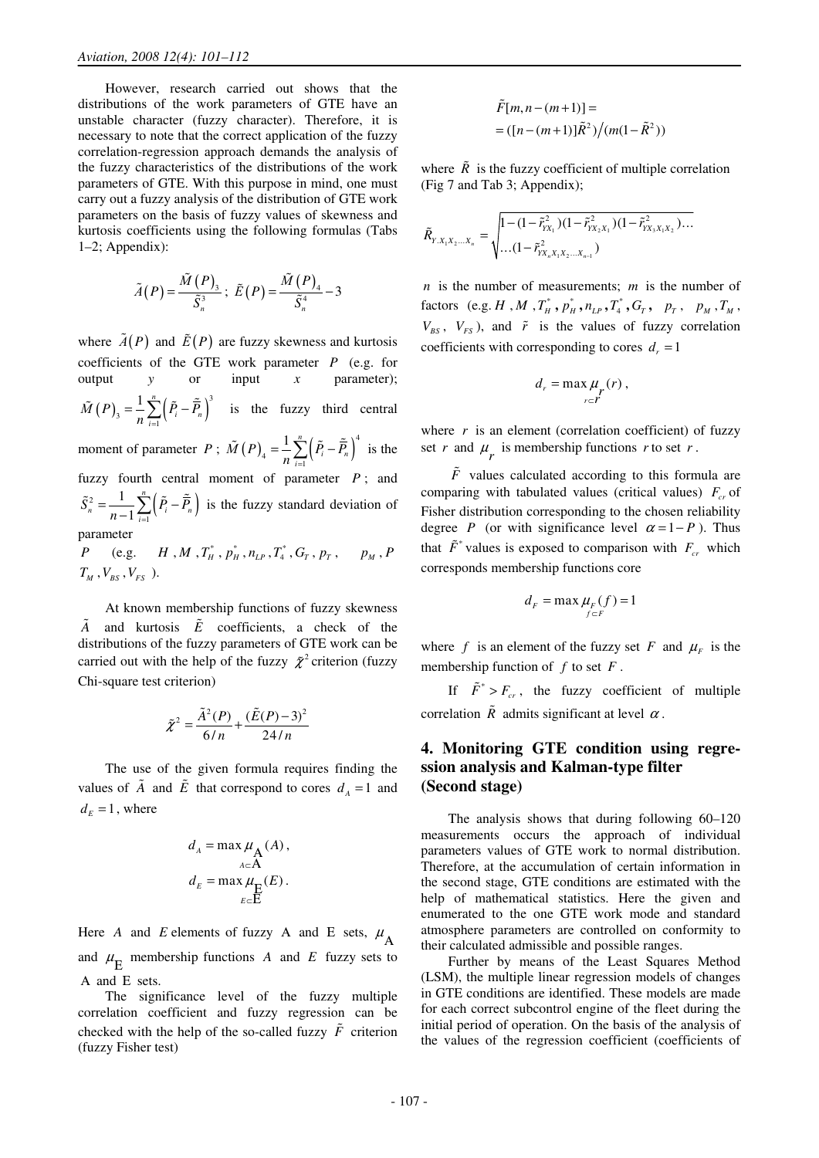However, research carried out shows that the distributions of the work parameters of GTE have an unstable character (fuzzy character). Therefore, it is necessary to note that the correct application of the fuzzy correlation-regression approach demands the analysis of the fuzzy characteristics of the distributions of the work parameters of GTE. With this purpose in mind, one must carry out a fuzzy analysis of the distribution of GTE work parameters on the basis of fuzzy values of skewness and kurtosis coefficients using the following formulas (Tabs 1–2; Appendix):

$$
\widetilde{A}(P) = \frac{\widetilde{M}(P)_3}{\widetilde{S}_n^3}; \ \widetilde{E}(P) = \frac{\widetilde{M}(P)_4}{\widetilde{S}_n^4} - 3
$$

where  $\tilde{A}(P)$  and  $\tilde{E}(P)$  are fuzzy skewness and kurtosis coefficients of the GTE work parameter *P* (e.g. for output *y* or input *x* parameter);  $(P)_{3} = \frac{1}{n} \sum_{i=1}^{n} (\tilde{P}_{i} - \tilde{\overline{P}}_{n})^{3}$ <sup>3</sup>  $n \sum_{i=1}$  $1\frac{n}{2}$  $\sum_{i=1}^{\ell} \binom{r_i-r_n}{r_i}$  $\tilde{M}(P)_{3} = \frac{1}{n} \sum_{i=1}^{n} (\tilde{P}_{i} - \tilde{P}_{n})^{3}$  is the fuzzy third central moment of parameter  $P$ ;  $\tilde{M}(P)_{4} = \frac{1}{N} \sum_{i=1}^{N} (\tilde{P}_{i} - \tilde{\overline{P}}_{n})^{4}$ 4  $n \sum_{i=1}$  $1 \frac{n}{2}$  $\sum_{i=1}^{\ell} \binom{r_i-r_n}{r_i}$  $\tilde{M}(P)_{4} = \frac{1}{n} \sum_{i=1}^{n} (\tilde{P}_{i} - \tilde{\overline{P}}_{n})^{4}$  is the fuzzy fourth central moment of parameter *P* ; and  $\sum_{n=1}^{n} = \frac{1}{n-1} \sum \left( \tilde{P}_i - \overline{P}_n \right).$ 1 1 1 *n*  $n - 1$   $\sum_{i=1}^{\infty}$   $\binom{r_i - r_n}{r_i}$  $\tilde{S}_n^2 = \frac{1}{n-1} \sum_{i=1}^n (\tilde{P}_i - \tilde{\overline{P}}_n)$  is the fuzzy standard deviation of parameter

*P* (e.g. *H*, *M*,  $T_H^*$ ,  $p_H^*$ ,  $n_{LP}$ ,  $T_4^*$ ,  $G_T$ ,  $p_T$ ,  $p_M$ , *P*  $T_M$ <sup>*, V<sub>BS</sub>*</sub>*, V<sub>FS</sub>*<sup>*)*.</sup></sup>

At known membership functions of fuzzy skewness  $\tilde{A}$  and kurtosis  $\tilde{E}$  coefficients, a check of the distributions of the fuzzy parameters of GTE work can be carried out with the help of the fuzzy  $\tilde{\chi}^2$  criterion (fuzzy Chi-square test criterion)

$$
\tilde{\chi}^2 = \frac{\tilde{A}^2(P)}{6/n} + \frac{(\tilde{E}(P) - 3)^2}{24/n}
$$

The use of the given formula requires finding the values of  $\tilde{A}$  and  $\tilde{E}$  that correspond to cores  $d_A = 1$  and  $d_E = 1$ , where

$$
d_{A} = \max \mu_{A}(A),
$$
  
\n
$$
d_{E} = \max \mu_{E}(E).
$$
  
\n
$$
d_{E} = \max E(E).
$$

Here *A* and *E* elements of fuzzy A and E sets,  $\mu_A$ and  $\mu$ <sub>E</sub> membership functions *A* and *E* fuzzy sets to Α and Ε sets.

The significance level of the fuzzy multiple correlation coefficient and fuzzy regression can be checked with the help of the so-called fuzzy  $\tilde{F}$  criterion (fuzzy Fisher test)

$$
\tilde{F}[m, n - (m+1)] =
$$
  
=  $([n - (m+1)]\tilde{R}^2)/(m(1 - \tilde{R}^2))$ 

where  $\tilde{R}$  is the fuzzy coefficient of multiple correlation (Fig 7 and Tab 3; Appendix);

$$
\tilde{R}_{Y.X_1X_2...X_n} = \sqrt{\frac{1 - (1 - \tilde{r}_{YX_1}^2)(1 - \tilde{r}_{YX_2X_1}^2)(1 - \tilde{r}_{YX_3X_1X_2}^2)...}{1 - \tilde{r}_{YX_nX_1X_2...X_{n-1}}^2}}
$$

*n* is the number of measurements; *m* is the number of factors (e.g. H, M,  $T_H^*$ ,  $p_H^*$ ,  $n_{LP}$ ,  $T_4^*$ ,  $G_T$ ,  $p_T$ ,  $p_M$ ,  $T_M$ ,  $V_{BS}$ ,  $V_{FS}$ ), and  $\tilde{r}$  is the values of fuzzy correlation coefficients with corresponding to cores  $d_r = 1$ 

$$
d_r = \max_{r \in r} \mu_r(r),
$$

where  $r$  is an element (correlation coefficient) of fuzzy set *r* and  $\mu_r$  is membership functions *r* to set *r*.

 $\tilde{F}$  values calculated according to this formula are comparing with tabulated values (critical values) *Fcr* of Fisher distribution corresponding to the chosen reliability degree *P* (or with significance level  $\alpha = 1 - P$ ). Thus that  $\tilde{F}^*$  values is exposed to comparison with  $F_{cr}$  which corresponds membership functions core

$$
d_F = \max \mu_F(f) = 1
$$

where *f* is an element of the fuzzy set *F* and  $\mu_F$  is the membership function of *f* to set *F* .

If  $\tilde{F}^* > F_{cr}$ , the fuzzy coefficient of multiple correlation  $\tilde{R}$  admits significant at level  $\alpha$ .

### **4. Monitoring GTE condition using regression analysis and Kalman-type filter (Second stage)**

The analysis shows that during following 60–120 measurements occurs the approach of individual parameters values of GTE work to normal distribution. Therefore, at the accumulation of certain information in the second stage, GTE conditions are estimated with the help of mathematical statistics. Here the given and enumerated to the one GTE work mode and standard atmosphere parameters are controlled on conformity to their calculated admissible and possible ranges.

Further by means of the Least Squares Method (LSM), the multiple linear regression models of changes in GTE conditions are identified. These models are made for each correct subcontrol engine of the fleet during the initial period of operation. On the basis of the analysis of the values of the regression coefficient (coefficients of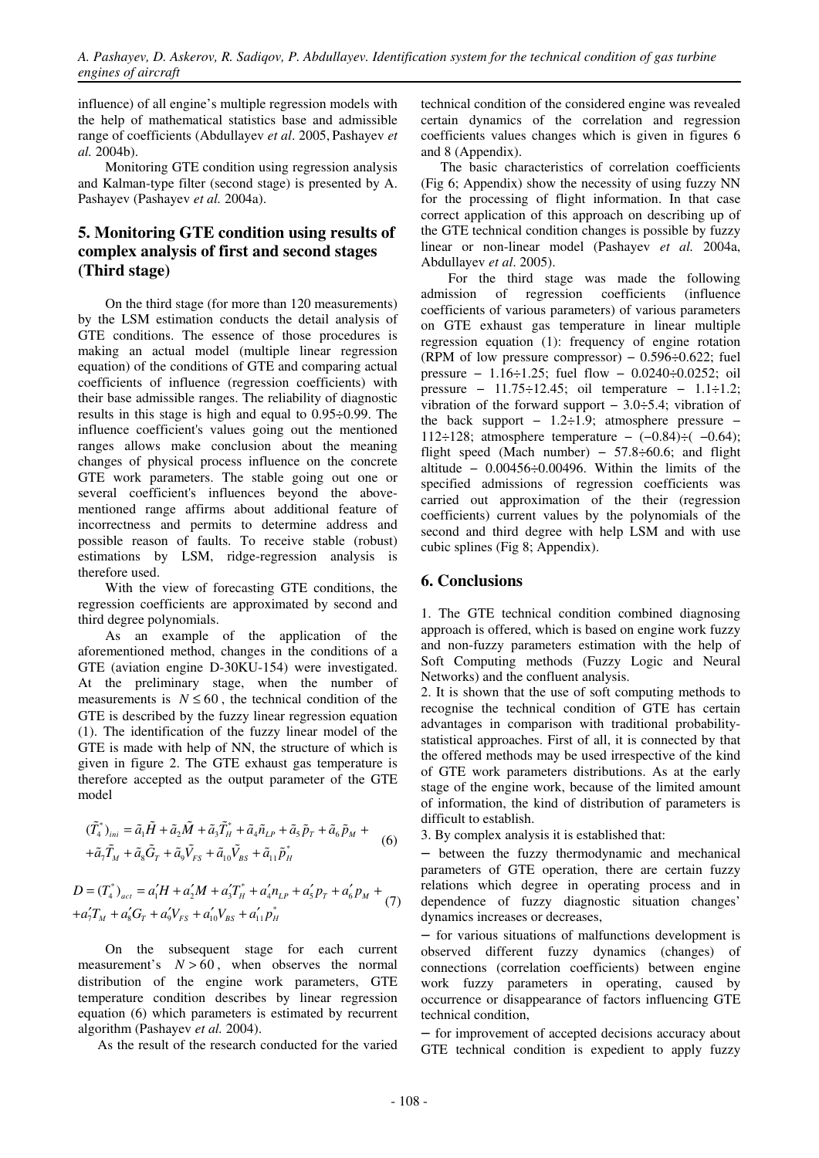influence) of all engine's multiple regression models with the help of mathematical statistics base and admissible range of coefficients (Abdullayev *et al*. 2005, Pashayev *et al.* 2004b).

Monitoring GTE condition using regression analysis and Kalman-type filter (second stage) is presented by A. Pashayev (Pashayev *et al.* 2004a).

## **5. Monitoring GTE condition using results of complex analysis of first and second stages (Third stage)**

On the third stage (for more than 120 measurements) by the LSM estimation conducts the detail analysis of GTE conditions. The essence of those procedures is making an actual model (multiple linear regression equation) of the conditions of GTE and comparing actual coefficients of influence (regression coefficients) with their base admissible ranges. The reliability of diagnostic results in this stage is high and equal to 0.95÷0.99. The influence coefficient's values going out the mentioned ranges allows make conclusion about the meaning changes of physical process influence on the concrete GTE work parameters. The stable going out one or several coefficient's influences beyond the abovementioned range affirms about additional feature of incorrectness and permits to determine address and possible reason of faults. To receive stable (robust) estimations by LSM, ridge-regression analysis is therefore used.

With the view of forecasting GTE conditions, the regression coefficients are approximated by second and third degree polynomials.

As an example of the application of the aforementioned method, changes in the conditions of a GTE (aviation engine D-30KU-154) were investigated. At the preliminary stage, when the number of measurements is  $N \le 60$ , the technical condition of the GTE is described by the fuzzy linear regression equation (1). The identification of the fuzzy linear model of the GTE is made with help of NN, the structure of which is given in figure 2. The GTE exhaust gas temperature is therefore accepted as the output parameter of the GTE model

$$
\begin{aligned} (\tilde{T}_4^*)_{\text{ini}} &= \tilde{a}_1 \tilde{H} + \tilde{a}_2 \tilde{M} + \tilde{a}_3 \tilde{T}_H^* + \tilde{a}_4 \tilde{n}_{LP} + \tilde{a}_5 \tilde{p}_T + \tilde{a}_6 \tilde{p}_M + \\ &+ \tilde{a}_7 \tilde{T}_M + \tilde{a}_8 \tilde{G}_T + \tilde{a}_9 \tilde{V}_{FS} + \tilde{a}_{10} \tilde{V}_{BS} + \tilde{a}_{11} \tilde{p}_H^* \end{aligned} \tag{6}
$$

$$
D = (T_4^*)_{act} = a_1'H + a_2'M + a_3'T_H^* + a_4'n_{LP} + a_5'p_T + a_6'p_M ++ a_7'T_M + a_8'G_T + a_9'V_{FS} + a_{10}'V_{BS} + a_{11}'p_H^*
$$
 (7)

On the subsequent stage for each current measurement's  $N > 60$ , when observes the normal distribution of the engine work parameters, GTE temperature condition describes by linear regression equation (6) which parameters is estimated by recurrent algorithm (Pashayev *et al.* 2004).

As the result of the research conducted for the varied

technical condition of the considered engine was revealed certain dynamics of the correlation and regression coefficients values changes which is given in figures 6 and 8 (Appendix).

The basic characteristics of correlation coefficients (Fig 6; Appendix) show the necessity of using fuzzy NN for the processing of flight information. In that case correct application of this approach on describing up of the GTE technical condition changes is possible by fuzzy linear or non-linear model (Pashayev *et al.* 2004a, Abdullayev *et al*. 2005).

For the third stage was made the following admission of regression coefficients (influence coefficients of various parameters) of various parameters on GTE exhaust gas temperature in linear multiple regression equation (1): frequency of engine rotation (RPM of low pressure compressor) –  $0.596 \div 0.622$ ; fuel pressure − 1.16÷1.25; fuel flow − 0.0240÷0.0252; oil pressure − 11.75÷12.45; oil temperature − 1.1÷1.2; vibration of the forward support − 3.0÷5.4; vibration of the back support − 1.2÷1.9; atmosphere pressure − 112÷128; atmosphere temperature − (−0.84)÷( −0.64); flight speed (Mach number) –  $57.8 \div 60.6$ ; and flight altitude − 0.00456÷0.00496. Within the limits of the specified admissions of regression coefficients was carried out approximation of the their (regression coefficients) current values by the polynomials of the second and third degree with help LSM and with use cubic splines (Fig 8; Appendix).

#### **6. Conclusions**

1. The GTE technical condition combined diagnosing approach is offered, which is based on engine work fuzzy and non-fuzzy parameters estimation with the help of Soft Computing methods (Fuzzy Logic and Neural Networks) and the confluent analysis.

2. It is shown that the use of soft computing methods to recognise the technical condition of GTE has certain advantages in comparison with traditional probabilitystatistical approaches. First of all, it is connected by that the offered methods may be used irrespective of the kind of GTE work parameters distributions. As at the early stage of the engine work, because of the limited amount of information, the kind of distribution of parameters is difficult to establish.

3. By complex analysis it is established that:

− between the fuzzy thermodynamic and mechanical parameters of GTE operation, there are certain fuzzy relations which degree in operating process and in dependence of fuzzy diagnostic situation changes' dynamics increases or decreases,

− for various situations of malfunctions development is observed different fuzzy dynamics (changes) of connections (correlation coefficients) between engine work fuzzy parameters in operating, caused by occurrence or disappearance of factors influencing GTE technical condition,

− for improvement of accepted decisions accuracy about GTE technical condition is expedient to apply fuzzy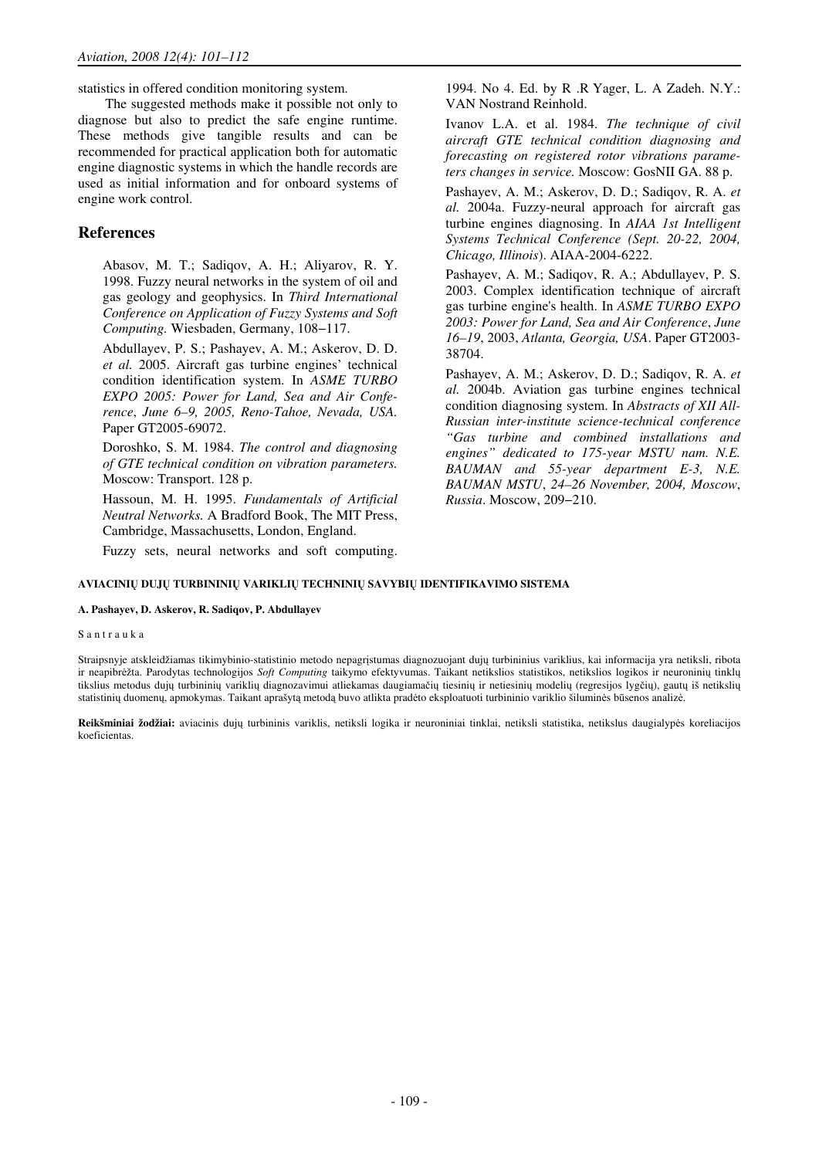statistics in offered condition monitoring system.

The suggested methods make it possible not only to diagnose but also to predict the safe engine runtime. These methods give tangible results and can be recommended for practical application both for automatic engine diagnostic systems in which the handle records are used as initial information and for onboard systems of engine work control.

### **References**

Abasov, M. T.; Sadiqov, A. H.; Aliyarov, R. Y. 1998. Fuzzy neural networks in the system of oil and gas geology and geophysics. In *Third International Conference on Application of Fuzzy Systems and Soft Computing.* Wiesbaden, Germany, 108−117.

Abdullayev, P. S.; Pashayev, A. M.; Askerov, D. D. *et al.* 2005. Aircraft gas turbine engines' technical condition identification system. In *ASME TURBO EXPO 2005: Power for Land, Sea and Air Conference*, *June 6–9, 2005, Reno-Tahoe, Nevada, USA.* Paper GT2005-69072.

Doroshko, S. M. 1984. *The control and diagnosing of GTE technical condition on vibration parameters.* Moscow: Transport. 128 p.

Hassoun, M. H. 1995. *Fundamentals of Artificial Neutral Networks.* A Bradford Book, The MIT Press, Cambridge, Massachusetts, London, England.

Fuzzy sets, neural networks and soft computing.

1994. No 4. Ed. by R .R Yager, L. A Zadeh. N.Y.: VAN Nostrand Reinhold.

Ivanov L.A. et al. 1984. *The technique of civil aircraft GTE technical condition diagnosing and forecasting on registered rotor vibrations parameters changes in service.* Moscow: GosNII GA. 88 p.

Pashayev, A. M.; Askerov, D. D.; Sadiqov, R. A. *et al.* 2004a. Fuzzy-neural approach for aircraft gas turbine engines diagnosing. In *AIAA 1st Intelligent Systems Technical Conference (Sept. 20-22, 2004, Chicago, Illinois*). AIAA-2004-6222.

Pashayev, A. M.; Sadiqov, R. A.; Abdullayev, P. S. 2003. Complex identification technique of aircraft gas turbine engine's health. In *ASME TURBO EXPO 2003: Power for Land, Sea and Air Conference*, *June 16–19*, 2003, *Atlanta, Georgia, USA*. Paper GT2003- 38704.

Pashayev, A. M.; Askerov, D. D.; Sadiqov, R. A. *et al.* 2004b. Aviation gas turbine engines technical condition diagnosing system. In *Abstracts of XII All-Russian inter-institute science-technical conference "Gas turbine and combined installations and engines" dedicated to 175-year MSTU nam. N.E. BAUMAN and 55-year department E-3, N.E. BAUMAN MSTU*, *24–26 November, 2004, Moscow*, *Russia*. Moscow, 209−210.

#### **AVIACINI**Ų **DUJ**Ų **TURBININI**Ų **VARIKLI**Ų **TECHNINI**Ų **SAVYBI**Ų **IDENTIFIKAVIMO SISTEMA**

#### **A. Pashayev, D. Askerov, R. Sadiqov, P. Abdullayev**

#### S a n t r a u k a

Straipsnyje atskleidžiamas tikimybinio-statistinio metodo nepagrįstumas diagnozuojant dujų turbininius variklius, kai informacija yra netiksli, ribota ir neapibrėžta. Parodytas technologijos *Soft Computing* taikymo efektyvumas. Taikant netikslios statistikos, netikslios logikos ir neuroninių tinklų tikslius metodus dujų turbininių variklių diagnozavimui atliekamas daugiamačių tiesinių ir netiesinių modelių (regresijos lygčių), gautų iš netikslių statistinių duomenų, apmokymas. Taikant aprašytą metodą buvo atlikta pradėto eksploatuoti turbininio variklio šiluminės būsenos analizė.

**Reikšminiai žodžiai:** aviacinis dujų turbininis variklis, netiksli logika ir neuroniniai tinklai, netiksli statistika, netikslus daugialypės koreliacijos koeficientas.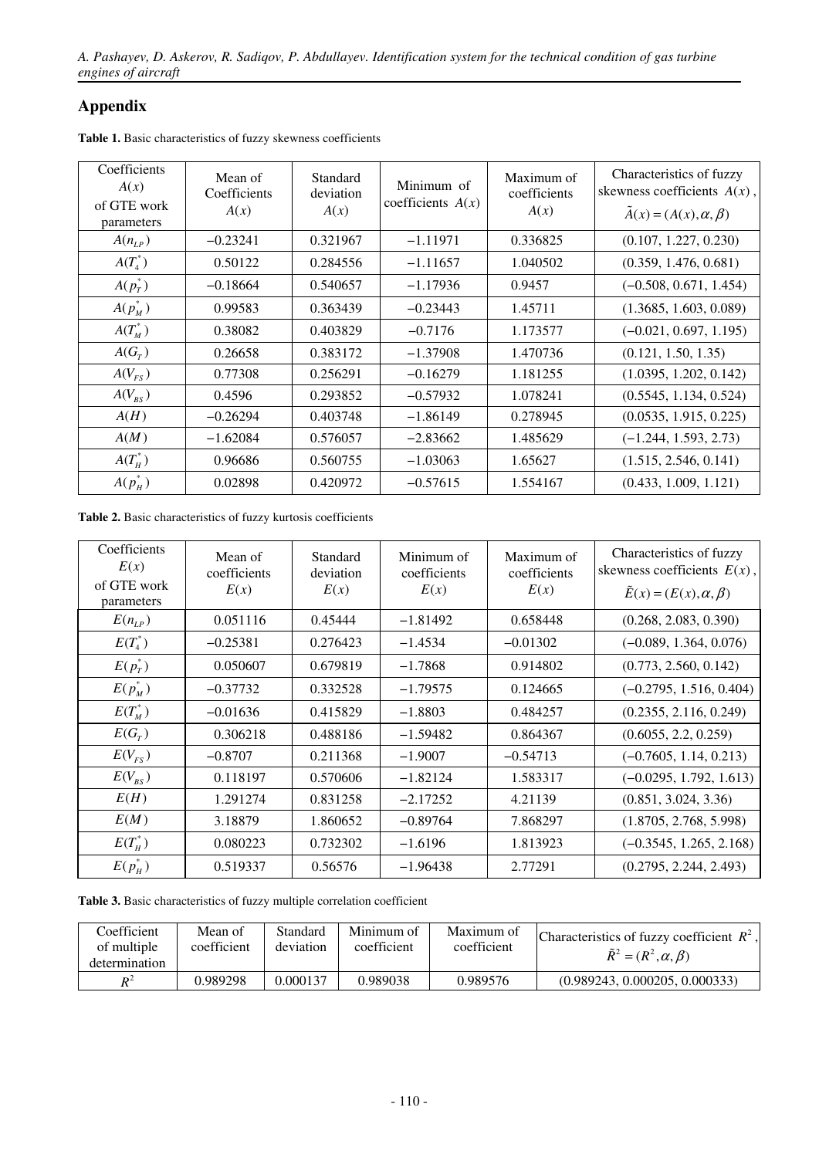# **Appendix**

| Coefficients<br>A(x)<br>of GTE work<br>parameters | Mean of<br>Coefficients<br>A(x) | Standard<br>deviation<br>A(x) | Minimum of<br>coefficients $A(x)$ | Maximum of<br>coefficients<br>A(x) | Characteristics of fuzzy<br>skewness coefficients $A(x)$ ,<br>$\tilde{A}(x) = (A(x), \alpha, \beta)$ |
|---------------------------------------------------|---------------------------------|-------------------------------|-----------------------------------|------------------------------------|------------------------------------------------------------------------------------------------------|
| $A(n_{LP})$                                       | $-0.23241$                      | 0.321967                      | $-1.11971$                        | 0.336825                           | (0.107, 1.227, 0.230)                                                                                |
| $A(T_4^*)$                                        | 0.50122                         | 0.284556                      | $-1.11657$                        | 1.040502                           | (0.359, 1.476, 0.681)                                                                                |
| $A(p_T^*)$                                        | $-0.18664$                      | 0.540657                      | $-1.17936$                        | 0.9457                             | $(-0.508, 0.671, 1.454)$                                                                             |
| $A(p_M^*)$                                        | 0.99583                         | 0.363439                      | $-0.23443$                        | 1.45711                            | (1.3685, 1.603, 0.089)                                                                               |
| $A(T_M^*)$                                        | 0.38082                         | 0.403829                      | $-0.7176$                         | 1.173577                           | $(-0.021, 0.697, 1.195)$                                                                             |
| $A(G_r)$                                          | 0.26658                         | 0.383172                      | $-1.37908$                        | 1.470736                           | (0.121, 1.50, 1.35)                                                                                  |
| $A(V_{FS})$                                       | 0.77308                         | 0.256291                      | $-0.16279$                        | 1.181255                           | (1.0395, 1.202, 0.142)                                                                               |
| $A(V_{BS})$                                       | 0.4596                          | 0.293852                      | $-0.57932$                        | 1.078241                           | (0.5545, 1.134, 0.524)                                                                               |
| A(H)                                              | $-0.26294$                      | 0.403748                      | $-1.86149$                        | 0.278945                           | (0.0535, 1.915, 0.225)                                                                               |
| A(M)                                              | $-1.62084$                      | 0.576057                      | $-2.83662$                        | 1.485629                           | $(-1.244, 1.593, 2.73)$                                                                              |
| $A(T_H^*)$                                        | 0.96686                         | 0.560755                      | $-1.03063$                        | 1.65627                            | (1.515, 2.546, 0.141)                                                                                |
| $A(p_{H}^{\ast})$                                 | 0.02898                         | 0.420972                      | $-0.57615$                        | 1.554167                           | (0.433, 1.009, 1.121)                                                                                |

**Table 1.** Basic characteristics of fuzzy skewness coefficients

**Table 2.** Basic characteristics of fuzzy kurtosis coefficients

| Coefficients<br>E(x)<br>of GTE work<br>parameters | Mean of<br>coefficients<br>E(x) | Standard<br>deviation<br>E(x) | Minimum of<br>coefficients<br>E(x) | Maximum of<br>coefficients<br>E(x) | Characteristics of fuzzy<br>skewness coefficients $E(x)$ ,<br>$\tilde{E}(x) = (E(x), \alpha, \beta)$ |
|---------------------------------------------------|---------------------------------|-------------------------------|------------------------------------|------------------------------------|------------------------------------------------------------------------------------------------------|
| $E(n_{LP})$                                       | 0.051116                        | 0.45444                       | $-1.81492$                         | 0.658448                           | (0.268, 2.083, 0.390)                                                                                |
| $E(T_4^*)$                                        | $-0.25381$                      | 0.276423                      | $-1.4534$                          | $-0.01302$                         | $(-0.089, 1.364, 0.076)$                                                                             |
| $E(p_T^*)$                                        | 0.050607                        | 0.679819                      | $-1.7868$                          | 0.914802                           | (0.773, 2.560, 0.142)                                                                                |
| $E(p_M^*)$                                        | $-0.37732$                      | 0.332528                      | $-1.79575$                         | 0.124665                           | $(-0.2795, 1.516, 0.404)$                                                                            |
| $E(T_M^*)$                                        | $-0.01636$                      | 0.415829                      | $-1.8803$                          | 0.484257                           | (0.2355, 2.116, 0.249)                                                                               |
| $E(G_\tau)$                                       | 0.306218                        | 0.488186                      | $-1.59482$                         | 0.864367                           | (0.6055, 2.2, 0.259)                                                                                 |
| $E(V_{FS})$                                       | $-0.8707$                       | 0.211368                      | $-1.9007$                          | $-0.54713$                         | $(-0.7605, 1.14, 0.213)$                                                                             |
| $E(V_{BS})$                                       | 0.118197                        | 0.570606                      | $-1.82124$                         | 1.583317                           | $(-0.0295, 1.792, 1.613)$                                                                            |
| E(H)                                              | 1.291274                        | 0.831258                      | $-2.17252$                         | 4.21139                            | (0.851, 3.024, 3.36)                                                                                 |
| E(M)                                              | 3.18879                         | 1.860652                      | $-0.89764$                         | 7.868297                           | (1.8705, 2.768, 5.998)                                                                               |
| $E(T_{H}^{\ast})$                                 | 0.080223                        | 0.732302                      | $-1.6196$                          | 1.813923                           | $(-0.3545, 1.265, 2.168)$                                                                            |
| $E(p_{\scriptscriptstyle H}^*)$                   | 0.519337                        | 0.56576                       | $-1.96438$                         | 2.77291                            | (0.2795, 2.244, 2.493)                                                                               |

**Table 3.** Basic characteristics of fuzzy multiple correlation coefficient

| Coefficient<br>of multiple<br>determination | Mean of<br>coefficient | Standard<br>deviation | Minimum of<br>coefficient | Maximum of<br>coefficient | Characteristics of fuzzy coefficient $R^2$ ,<br>$\tilde{R}^2 = (R^2, \alpha, \beta)$ |
|---------------------------------------------|------------------------|-----------------------|---------------------------|---------------------------|--------------------------------------------------------------------------------------|
| $\mathbf{D}^2$                              | 0.989298               | 0.000137              | 0.989038                  | 0.989576                  | (0.989243, 0.000205, 0.000333)                                                       |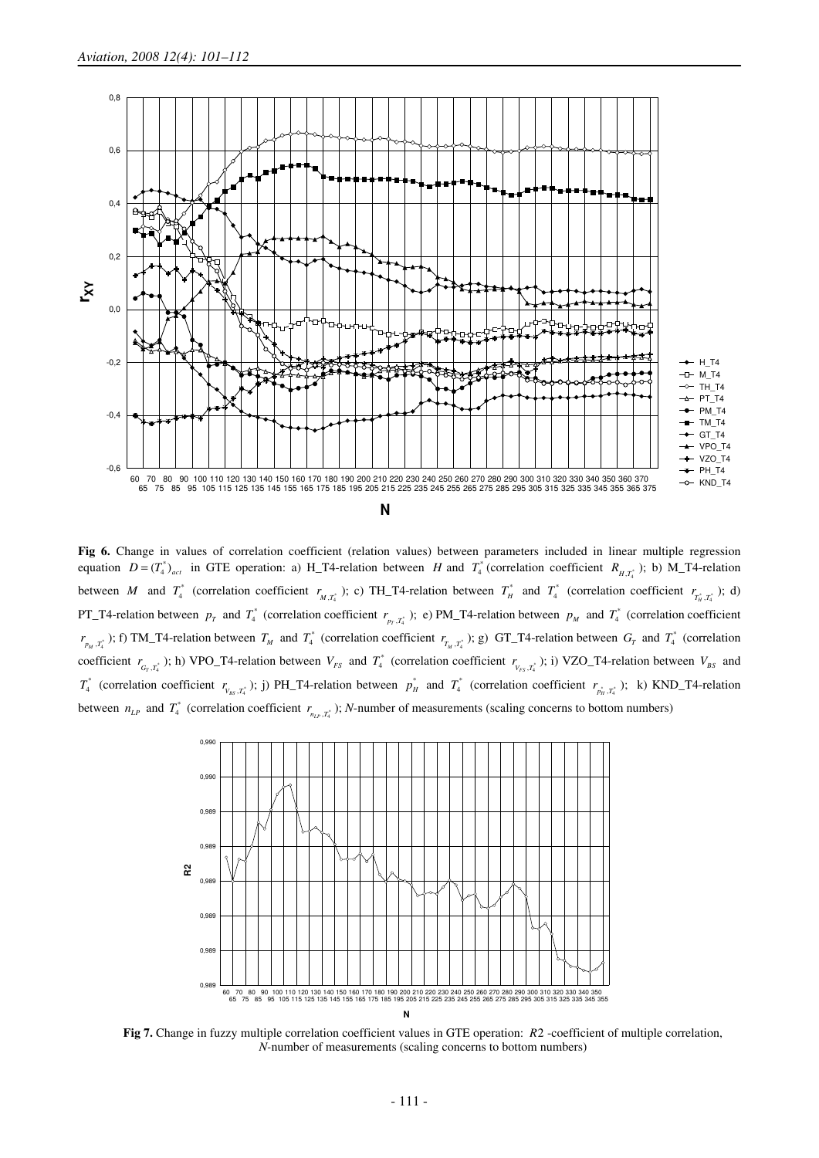

**Fig 6.** Change in values of correlation coefficient (relation values) between parameters included in linear multiple regression equation  $D = (T_4^*)_{act}$  in GTE operation: a) H\_T4-relation between *H* and  $T_4^*$  (correlation coefficient  $R_{H,T_4^*}$ ); b) M\_T4-relation between *M* and  $T_4^*$  (correlation coefficient  $r_{M,T_4^*}$ ); c) TH\_T4-relation between  $T_H^*$  and  $T_4^*$  (correlation coefficient  $r_{T_H^*,T_4^*}$ ); d) PT\_T4-relation between  $p_T$  and  $T_4^*$  (correlation coefficient  $r_{p_T,T_4^*}$ ); e) PM\_T4-relation between  $p_M$  and  $T_4^*$  (correlation coefficient  $r_{p_M,T_4^*}$ ; f) TM\_T4-relation between  $T_M$  and  $T_4^*$  (correlation coefficient  $r_{T_M,T_4^*}$ ); g) GT\_T4-relation between  $G_T$  and  $T_4^*$  (correlation coefficient  $r_{G_r,T^*_4}$ ; h) VPO\_T4-relation between  $V_{FS}$  and  $T^*_4$  (correlation coefficient  $r_{V_{FS},T^*_4}$ ; i) VZO\_T4-relation between  $V_{BS}$  and  $T_4^*$  (correlation coefficient  $r_{v_{BS},T_4^*}$ ); j) PH\_T4-relation between  $p_H^*$  and  $T_4^*$  (correlation coefficient  $r_{p_H^*,T_4^*}^*$ ); k) KND\_T4-relation between  $n_{LP}$  and  $T_4^*$  (correlation coefficient  $r_{n_{LP},T_4^*}$ ); *N*-number of measurements (scaling concerns to bottom numbers)



**Fig 7.** Change in fuzzy multiple correlation coefficient values in GTE operation: *R*2 -coefficient of multiple correlation, *N-*number of measurements (scaling concerns to bottom numbers)